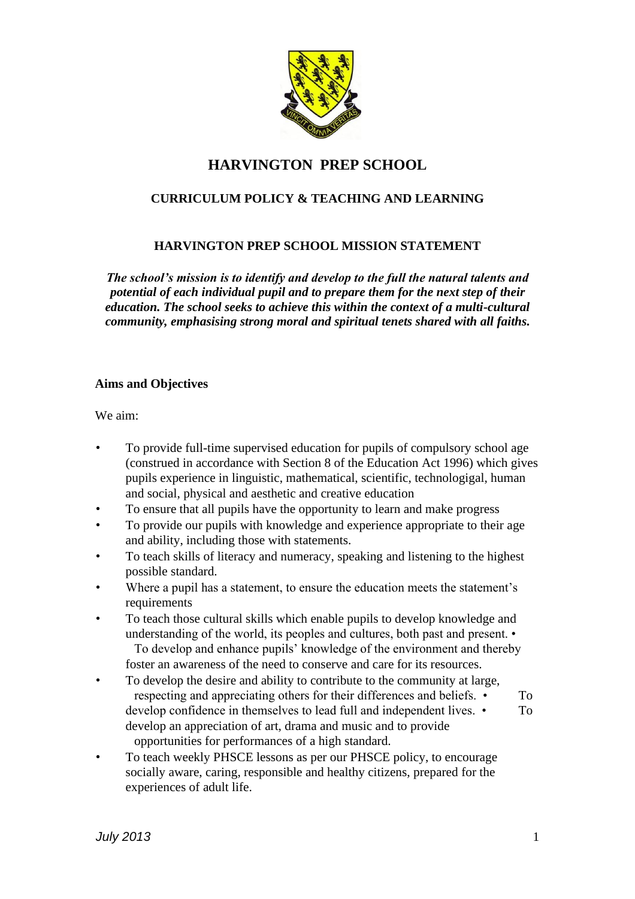

# **HARVINGTON PREP SCHOOL**

## **CURRICULUM POLICY & TEACHING AND LEARNING**

## **HARVINGTON PREP SCHOOL MISSION STATEMENT**

*The school's mission is to identify and develop to the full the natural talents and potential of each individual pupil and to prepare them for the next step of their education. The school seeks to achieve this within the context of a multi-cultural community, emphasising strong moral and spiritual tenets shared with all faiths.* 

#### **Aims and Objectives**

We aim:

- To provide full-time supervised education for pupils of compulsory school age (construed in accordance with Section 8 of the Education Act 1996) which gives pupils experience in linguistic, mathematical, scientific, technologigal, human and social, physical and aesthetic and creative education
- To ensure that all pupils have the opportunity to learn and make progress
- To provide our pupils with knowledge and experience appropriate to their age and ability, including those with statements.
- To teach skills of literacy and numeracy, speaking and listening to the highest possible standard.
- Where a pupil has a statement, to ensure the education meets the statement's requirements
- To teach those cultural skills which enable pupils to develop knowledge and understanding of the world, its peoples and cultures, both past and present. • To develop and enhance pupils' knowledge of the environment and thereby foster an awareness of the need to conserve and care for its resources.
- To develop the desire and ability to contribute to the community at large, respecting and appreciating others for their differences and beliefs. • To develop confidence in themselves to lead full and independent lives. • To develop an appreciation of art, drama and music and to provide opportunities for performances of a high standard.
- To teach weekly PHSCE lessons as per our PHSCE policy, to encourage socially aware, caring, responsible and healthy citizens, prepared for the experiences of adult life.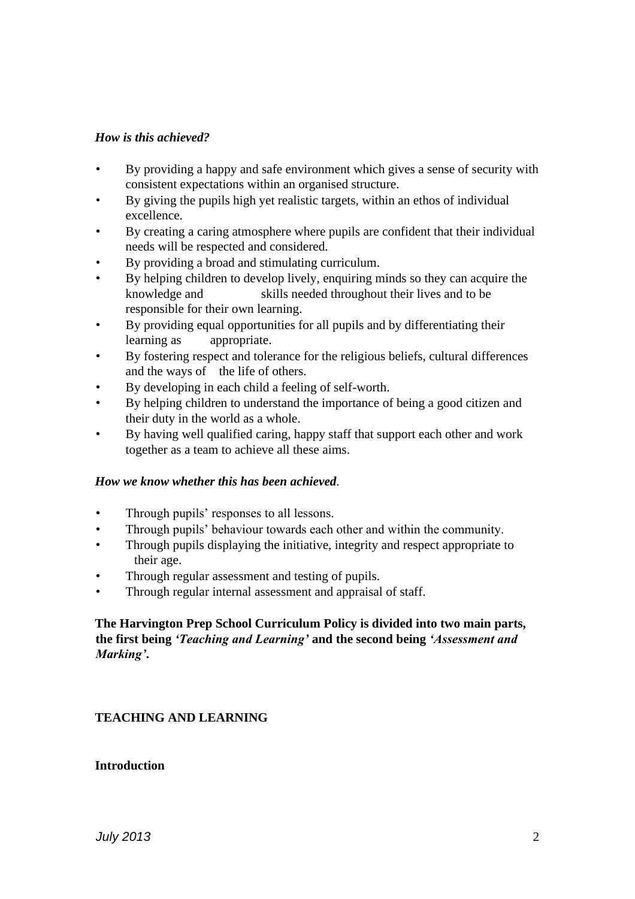#### *How is this achieved?*

- By providing a happy and safe environment which gives a sense of security with consistent expectations within an organised structure.
- By giving the pupils high yet realistic targets, within an ethos of individual excellence.
- By creating a caring atmosphere where pupils are confident that their individual needs will be respected and considered.
- By providing a broad and stimulating curriculum.
- By helping children to develop lively, enquiring minds so they can acquire the knowledge and skills needed throughout their lives and to be responsible for their own learning.
- By providing equal opportunities for all pupils and by differentiating their learning as appropriate.
- By fostering respect and tolerance for the religious beliefs, cultural differences and the ways of the life of others.
- By developing in each child a feeling of self-worth.
- By helping children to understand the importance of being a good citizen and their duty in the world as a whole.
- By having well qualified caring, happy staff that support each other and work together as a team to achieve all these aims.

#### *How we know whether this has been achieved.*

- Through pupils' responses to all lessons.
- Through pupils' behaviour towards each other and within the community.
- Through pupils displaying the initiative, integrity and respect appropriate to their age.
- Through regular assessment and testing of pupils.
- Through regular internal assessment and appraisal of staff.

## **The Harvington Prep School Curriculum Policy is divided into two main parts, the first being** *'Teaching and Learning'* **and the second being** *'Assessment and Marking'***.**

## **TEACHING AND LEARNING**

#### **Introduction**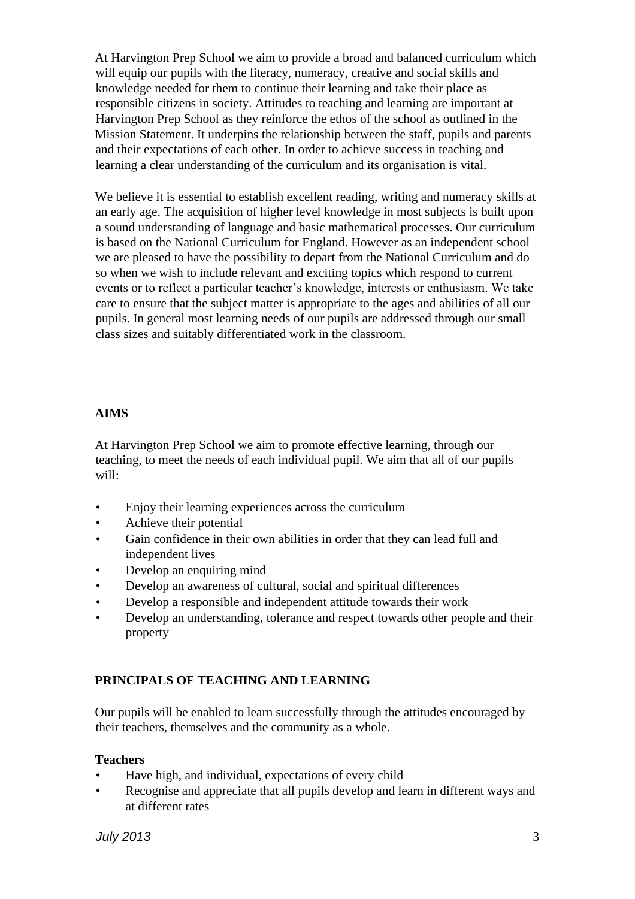At Harvington Prep School we aim to provide a broad and balanced curriculum which will equip our pupils with the literacy, numeracy, creative and social skills and knowledge needed for them to continue their learning and take their place as responsible citizens in society. Attitudes to teaching and learning are important at Harvington Prep School as they reinforce the ethos of the school as outlined in the Mission Statement. It underpins the relationship between the staff, pupils and parents and their expectations of each other. In order to achieve success in teaching and learning a clear understanding of the curriculum and its organisation is vital.

We believe it is essential to establish excellent reading, writing and numeracy skills at an early age. The acquisition of higher level knowledge in most subjects is built upon a sound understanding of language and basic mathematical processes. Our curriculum is based on the National Curriculum for England. However as an independent school we are pleased to have the possibility to depart from the National Curriculum and do so when we wish to include relevant and exciting topics which respond to current events or to reflect a particular teacher's knowledge, interests or enthusiasm. We take care to ensure that the subject matter is appropriate to the ages and abilities of all our pupils. In general most learning needs of our pupils are addressed through our small class sizes and suitably differentiated work in the classroom.

#### **AIMS**

At Harvington Prep School we aim to promote effective learning, through our teaching, to meet the needs of each individual pupil. We aim that all of our pupils will:

- Enjoy their learning experiences across the curriculum
- Achieve their potential
- Gain confidence in their own abilities in order that they can lead full and independent lives
- Develop an enquiring mind
- Develop an awareness of cultural, social and spiritual differences
- Develop a responsible and independent attitude towards their work
- Develop an understanding, tolerance and respect towards other people and their property

## **PRINCIPALS OF TEACHING AND LEARNING**

Our pupils will be enabled to learn successfully through the attitudes encouraged by their teachers, themselves and the community as a whole.

#### **Teachers**

- Have high, and individual, expectations of every child
- Recognise and appreciate that all pupils develop and learn in different ways and at different rates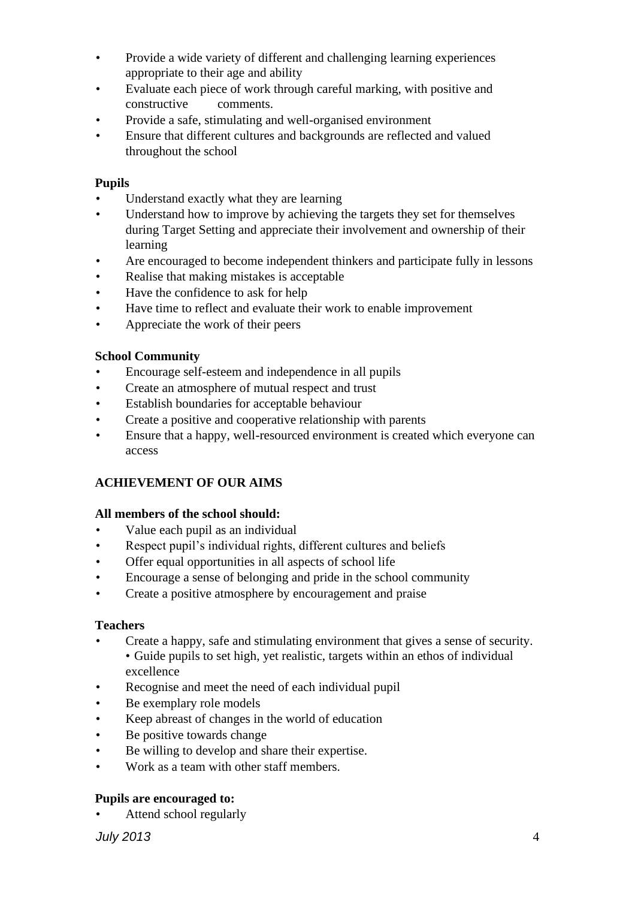- Provide a wide variety of different and challenging learning experiences appropriate to their age and ability
- Evaluate each piece of work through careful marking, with positive and constructive comments.
- Provide a safe, stimulating and well-organised environment
- Ensure that different cultures and backgrounds are reflected and valued throughout the school

#### **Pupils**

- Understand exactly what they are learning
- Understand how to improve by achieving the targets they set for themselves during Target Setting and appreciate their involvement and ownership of their learning
- Are encouraged to become independent thinkers and participate fully in lessons
- Realise that making mistakes is acceptable
- Have the confidence to ask for help
- Have time to reflect and evaluate their work to enable improvement
- Appreciate the work of their peers

#### **School Community**

- Encourage self-esteem and independence in all pupils
- Create an atmosphere of mutual respect and trust
- Establish boundaries for acceptable behaviour
- Create a positive and cooperative relationship with parents
- Ensure that a happy, well-resourced environment is created which everyone can access

## **ACHIEVEMENT OF OUR AIMS**

#### **All members of the school should:**

- Value each pupil as an individual
- Respect pupil's individual rights, different cultures and beliefs
- Offer equal opportunities in all aspects of school life
- Encourage a sense of belonging and pride in the school community
- Create a positive atmosphere by encouragement and praise

#### **Teachers**

- Create a happy, safe and stimulating environment that gives a sense of security. • Guide pupils to set high, yet realistic, targets within an ethos of individual excellence
- Recognise and meet the need of each individual pupil
- Be exemplary role models
- Keep abreast of changes in the world of education
- Be positive towards change
- Be willing to develop and share their expertise.
- Work as a team with other staff members.

#### **Pupils are encouraged to:**

• Attend school regularly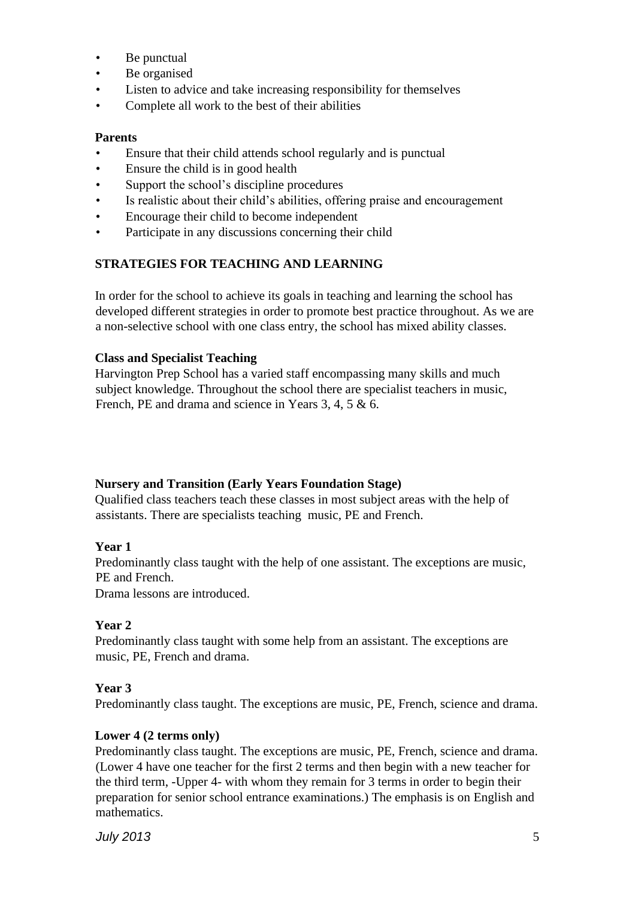- Be punctual
- Be organised
- Listen to advice and take increasing responsibility for themselves
- Complete all work to the best of their abilities

#### **Parents**

- Ensure that their child attends school regularly and is punctual
- Ensure the child is in good health
- Support the school's discipline procedures
- Is realistic about their child's abilities, offering praise and encouragement
- Encourage their child to become independent
- Participate in any discussions concerning their child

#### **STRATEGIES FOR TEACHING AND LEARNING**

In order for the school to achieve its goals in teaching and learning the school has developed different strategies in order to promote best practice throughout. As we are a non-selective school with one class entry, the school has mixed ability classes.

#### **Class and Specialist Teaching**

Harvington Prep School has a varied staff encompassing many skills and much subject knowledge. Throughout the school there are specialist teachers in music, French, PE and drama and science in Years 3, 4, 5 & 6.

#### **Nursery and Transition (Early Years Foundation Stage)**

Qualified class teachers teach these classes in most subject areas with the help of assistants. There are specialists teaching music, PE and French.

#### **Year 1**

Predominantly class taught with the help of one assistant. The exceptions are music, PE and French.

Drama lessons are introduced.

#### **Year 2**

Predominantly class taught with some help from an assistant. The exceptions are music, PE, French and drama.

#### **Year 3**

Predominantly class taught. The exceptions are music, PE, French, science and drama.

#### **Lower 4 (2 terms only)**

Predominantly class taught. The exceptions are music, PE, French, science and drama. (Lower 4 have one teacher for the first 2 terms and then begin with a new teacher for the third term, -Upper 4- with whom they remain for 3 terms in order to begin their preparation for senior school entrance examinations.) The emphasis is on English and mathematics.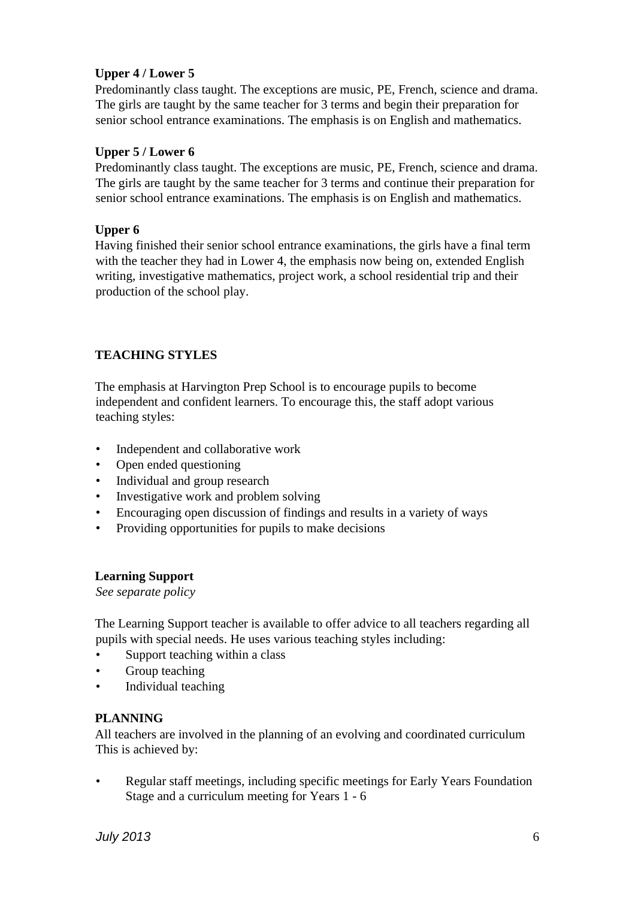## **Upper 4 / Lower 5**

Predominantly class taught. The exceptions are music, PE, French, science and drama. The girls are taught by the same teacher for 3 terms and begin their preparation for senior school entrance examinations. The emphasis is on English and mathematics.

#### **Upper 5 / Lower 6**

Predominantly class taught. The exceptions are music, PE, French, science and drama. The girls are taught by the same teacher for 3 terms and continue their preparation for senior school entrance examinations. The emphasis is on English and mathematics.

#### **Upper 6**

Having finished their senior school entrance examinations, the girls have a final term with the teacher they had in Lower 4, the emphasis now being on, extended English writing, investigative mathematics, project work, a school residential trip and their production of the school play.

#### **TEACHING STYLES**

The emphasis at Harvington Prep School is to encourage pupils to become independent and confident learners. To encourage this, the staff adopt various teaching styles:

- Independent and collaborative work
- Open ended questioning
- Individual and group research
- Investigative work and problem solving
- Encouraging open discussion of findings and results in a variety of ways
- Providing opportunities for pupils to make decisions

#### **Learning Support**

*See separate policy* 

The Learning Support teacher is available to offer advice to all teachers regarding all pupils with special needs. He uses various teaching styles including:

- Support teaching within a class
- Group teaching
- Individual teaching

#### **PLANNING**

All teachers are involved in the planning of an evolving and coordinated curriculum This is achieved by:

• Regular staff meetings, including specific meetings for Early Years Foundation Stage and a curriculum meeting for Years 1 - 6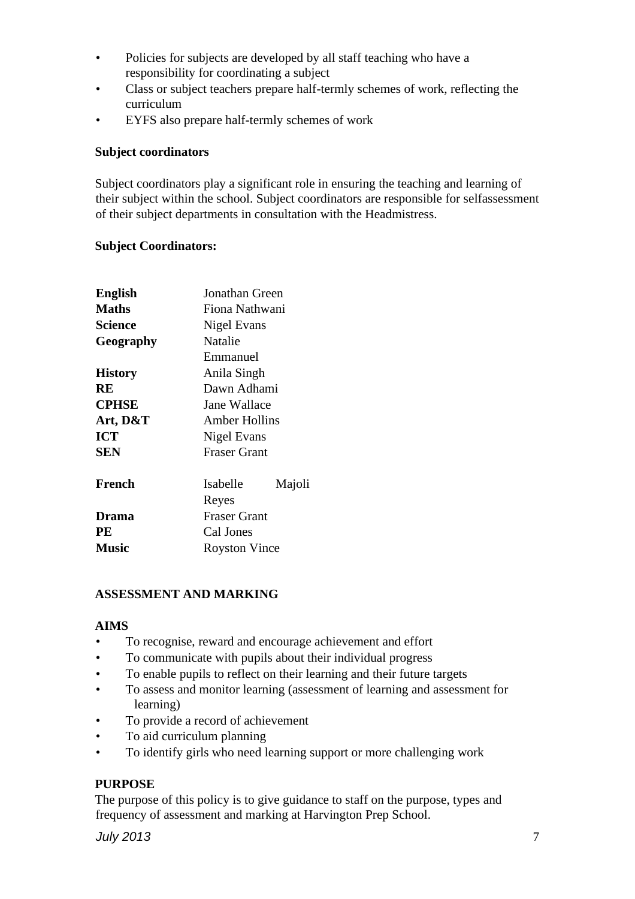- Policies for subjects are developed by all staff teaching who have a responsibility for coordinating a subject
- Class or subject teachers prepare half-termly schemes of work, reflecting the curriculum
- EYFS also prepare half-termly schemes of work

## **Subject coordinators**

Subject coordinators play a significant role in ensuring the teaching and learning of their subject within the school. Subject coordinators are responsible for selfassessment of their subject departments in consultation with the Headmistress.

## **Subject Coordinators:**

| <b>English</b> | Jonathan Green       |  |  |  |  |  |  |  |
|----------------|----------------------|--|--|--|--|--|--|--|
| <b>Maths</b>   | Fiona Nathwani       |  |  |  |  |  |  |  |
| Science        | Nigel Evans          |  |  |  |  |  |  |  |
| Geography      | Natalie              |  |  |  |  |  |  |  |
|                | Emmanuel             |  |  |  |  |  |  |  |
| <b>History</b> | Anila Singh          |  |  |  |  |  |  |  |
| RE             | Dawn Adhami          |  |  |  |  |  |  |  |
| <b>CPHSE</b>   | Jane Wallace         |  |  |  |  |  |  |  |
| Art, D&T       | Amber Hollins        |  |  |  |  |  |  |  |
| <b>ICT</b>     | Nigel Evans          |  |  |  |  |  |  |  |
| <b>SEN</b>     | <b>Fraser Grant</b>  |  |  |  |  |  |  |  |
| French         | Isabelle<br>Majoli   |  |  |  |  |  |  |  |
|                | Reyes                |  |  |  |  |  |  |  |
| Drama          | <b>Fraser Grant</b>  |  |  |  |  |  |  |  |
| PE             | Cal Jones            |  |  |  |  |  |  |  |
| <b>Music</b>   | <b>Royston Vince</b> |  |  |  |  |  |  |  |

## **ASSESSMENT AND MARKING**

#### **AIMS**

- To recognise, reward and encourage achievement and effort
- To communicate with pupils about their individual progress
- To enable pupils to reflect on their learning and their future targets
- To assess and monitor learning (assessment of learning and assessment for learning)
- To provide a record of achievement
- To aid curriculum planning
- To identify girls who need learning support or more challenging work

## **PURPOSE**

The purpose of this policy is to give guidance to staff on the purpose, types and frequency of assessment and marking at Harvington Prep School.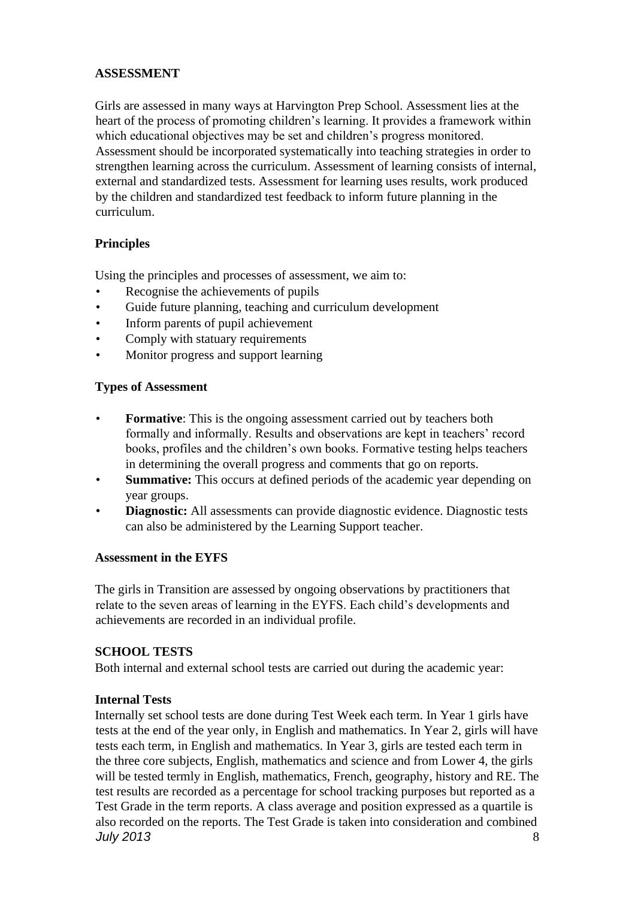#### **ASSESSMENT**

Girls are assessed in many ways at Harvington Prep School. Assessment lies at the heart of the process of promoting children's learning. It provides a framework within which educational objectives may be set and children's progress monitored. Assessment should be incorporated systematically into teaching strategies in order to strengthen learning across the curriculum. Assessment of learning consists of internal, external and standardized tests. Assessment for learning uses results, work produced by the children and standardized test feedback to inform future planning in the curriculum.

#### **Principles**

Using the principles and processes of assessment, we aim to:

- Recognise the achievements of pupils
- Guide future planning, teaching and curriculum development
- Inform parents of pupil achievement
- Comply with statuary requirements
- Monitor progress and support learning

#### **Types of Assessment**

- **Formative**: This is the ongoing assessment carried out by teachers both formally and informally. Results and observations are kept in teachers' record books, profiles and the children's own books. Formative testing helps teachers in determining the overall progress and comments that go on reports.
- **Summative:** This occurs at defined periods of the academic year depending on year groups.
- **Diagnostic:** All assessments can provide diagnostic evidence. Diagnostic tests can also be administered by the Learning Support teacher.

#### **Assessment in the EYFS**

The girls in Transition are assessed by ongoing observations by practitioners that relate to the seven areas of learning in the EYFS. Each child's developments and achievements are recorded in an individual profile.

#### **SCHOOL TESTS**

Both internal and external school tests are carried out during the academic year:

#### **Internal Tests**

*July 2013* 8 Internally set school tests are done during Test Week each term. In Year 1 girls have tests at the end of the year only, in English and mathematics. In Year 2, girls will have tests each term, in English and mathematics. In Year 3, girls are tested each term in the three core subjects, English, mathematics and science and from Lower 4, the girls will be tested termly in English, mathematics, French, geography, history and RE. The test results are recorded as a percentage for school tracking purposes but reported as a Test Grade in the term reports. A class average and position expressed as a quartile is also recorded on the reports. The Test Grade is taken into consideration and combined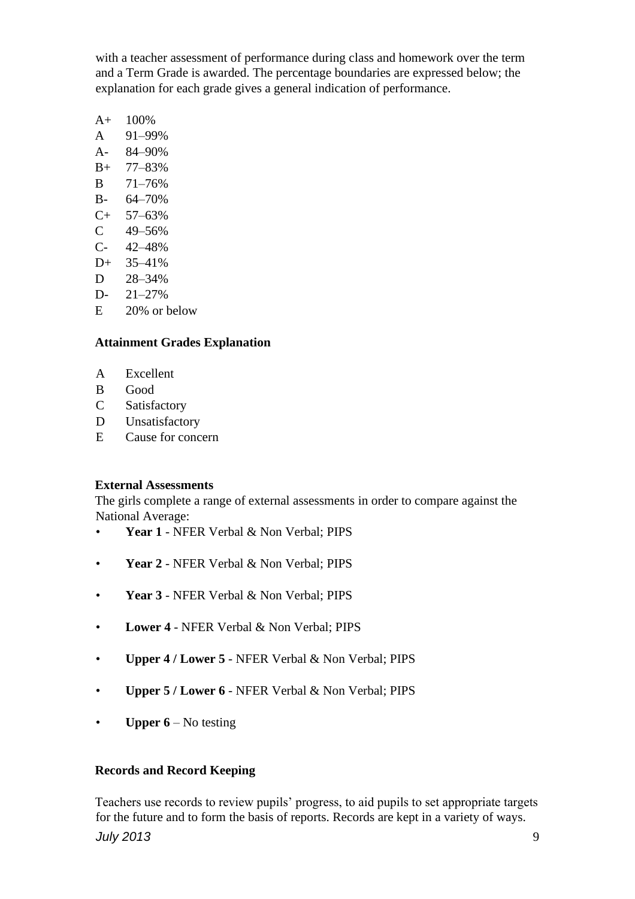with a teacher assessment of performance during class and homework over the term and a Term Grade is awarded. The percentage boundaries are expressed below; the explanation for each grade gives a general indication of performance.

- $A+ 100\%$
- A 91–99%
- A- 84–90%
- B+ 77–83%
- B 71–76%
- B- 64–70%
- C+ 57–63%
- $C = 49 56%$
- C- 42–48%
- D+ 35–41%
- D 28–34%
- D- 21–27%
- E 20% or below

## **Attainment Grades Explanation**

- A Excellent
- B Good
- C Satisfactory
- D Unsatisfactory
- E Cause for concern

#### **External Assessments**

The girls complete a range of external assessments in order to compare against the National Average:

- Year 1 NFER Verbal & Non Verbal; PIPS
- **Year 2**  NFER Verbal & Non Verbal; PIPS
- **Year 3**  NFER Verbal & Non Verbal; PIPS
- **Lower 4**  NFER Verbal & Non Verbal; PIPS
- **Upper 4 / Lower 5**  NFER Verbal & Non Verbal; PIPS
- **Upper 5 / Lower 6**  NFER Verbal & Non Verbal; PIPS
- **Upper 6** No testing

#### **Records and Record Keeping**

*July 2013* 9 Teachers use records to review pupils' progress, to aid pupils to set appropriate targets for the future and to form the basis of reports. Records are kept in a variety of ways.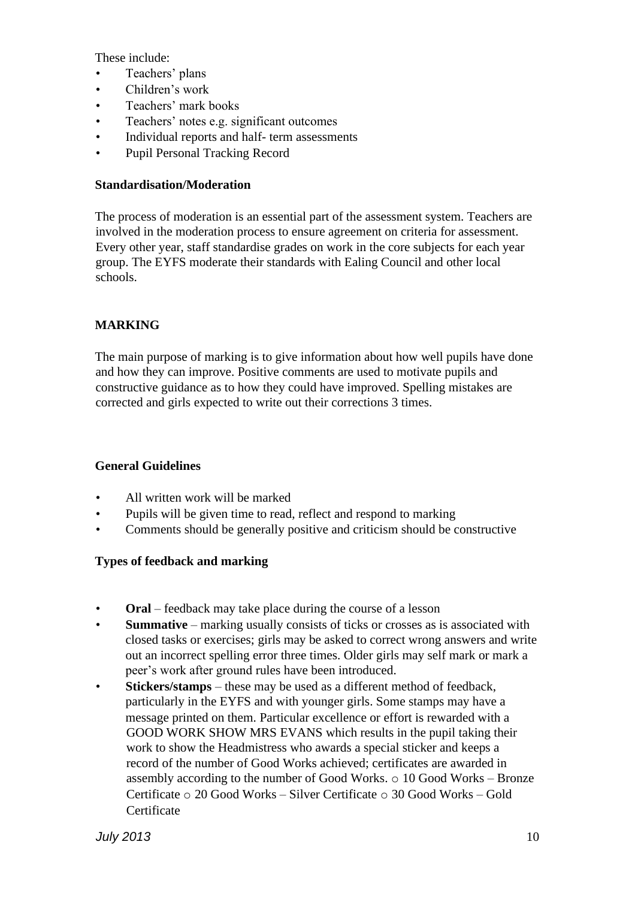These include:

- Teachers' plans
- Children's work
- Teachers' mark books
- Teachers' notes e.g. significant outcomes
- Individual reports and half- term assessments
- Pupil Personal Tracking Record

#### **Standardisation/Moderation**

The process of moderation is an essential part of the assessment system. Teachers are involved in the moderation process to ensure agreement on criteria for assessment. Every other year, staff standardise grades on work in the core subjects for each year group. The EYFS moderate their standards with Ealing Council and other local schools.

## **MARKING**

The main purpose of marking is to give information about how well pupils have done and how they can improve. Positive comments are used to motivate pupils and constructive guidance as to how they could have improved. Spelling mistakes are corrected and girls expected to write out their corrections 3 times.

#### **General Guidelines**

- All written work will be marked
- Pupils will be given time to read, reflect and respond to marking
- Comments should be generally positive and criticism should be constructive

## **Types of feedback and marking**

- **Oral** feedback may take place during the course of a lesson
- **Summative** marking usually consists of ticks or crosses as is associated with closed tasks or exercises; girls may be asked to correct wrong answers and write out an incorrect spelling error three times. Older girls may self mark or mark a peer's work after ground rules have been introduced.
- **Stickers/stamps**  these may be used as a different method of feedback, particularly in the EYFS and with younger girls. Some stamps may have a message printed on them. Particular excellence or effort is rewarded with a GOOD WORK SHOW MRS EVANS which results in the pupil taking their work to show the Headmistress who awards a special sticker and keeps a record of the number of Good Works achieved; certificates are awarded in assembly according to the number of Good Works. o 10 Good Works – Bronze Certificate  $\circ$  20 Good Works – Silver Certificate  $\circ$  30 Good Works – Gold **Certificate**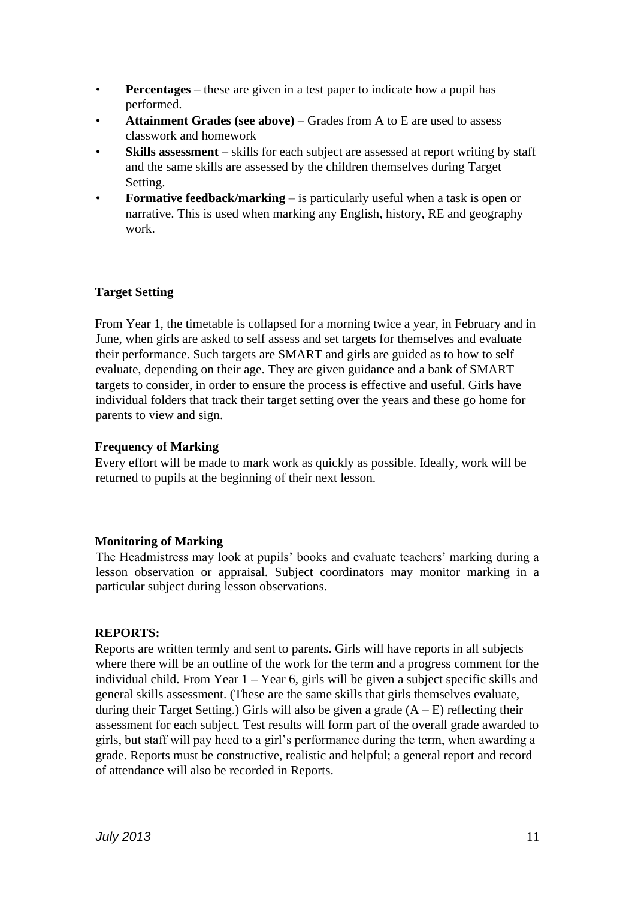- **Percentages** these are given in a test paper to indicate how a pupil has performed.
- **Attainment Grades (see above)**  Grades from A to E are used to assess classwork and homework
- **Skills assessment** skills for each subject are assessed at report writing by staff and the same skills are assessed by the children themselves during Target Setting.
- **Formative feedback/marking** is particularly useful when a task is open or narrative. This is used when marking any English, history, RE and geography work.

## **Target Setting**

From Year 1, the timetable is collapsed for a morning twice a year, in February and in June, when girls are asked to self assess and set targets for themselves and evaluate their performance. Such targets are SMART and girls are guided as to how to self evaluate, depending on their age. They are given guidance and a bank of SMART targets to consider, in order to ensure the process is effective and useful. Girls have individual folders that track their target setting over the years and these go home for parents to view and sign.

#### **Frequency of Marking**

Every effort will be made to mark work as quickly as possible. Ideally, work will be returned to pupils at the beginning of their next lesson.

#### **Monitoring of Marking**

The Headmistress may look at pupils' books and evaluate teachers' marking during a lesson observation or appraisal. Subject coordinators may monitor marking in a particular subject during lesson observations.

#### **REPORTS:**

Reports are written termly and sent to parents. Girls will have reports in all subjects where there will be an outline of the work for the term and a progress comment for the individual child. From Year  $1 -$  Year 6, girls will be given a subject specific skills and general skills assessment. (These are the same skills that girls themselves evaluate, during their Target Setting.) Girls will also be given a grade  $(A - E)$  reflecting their assessment for each subject. Test results will form part of the overall grade awarded to girls, but staff will pay heed to a girl's performance during the term, when awarding a grade. Reports must be constructive, realistic and helpful; a general report and record of attendance will also be recorded in Reports.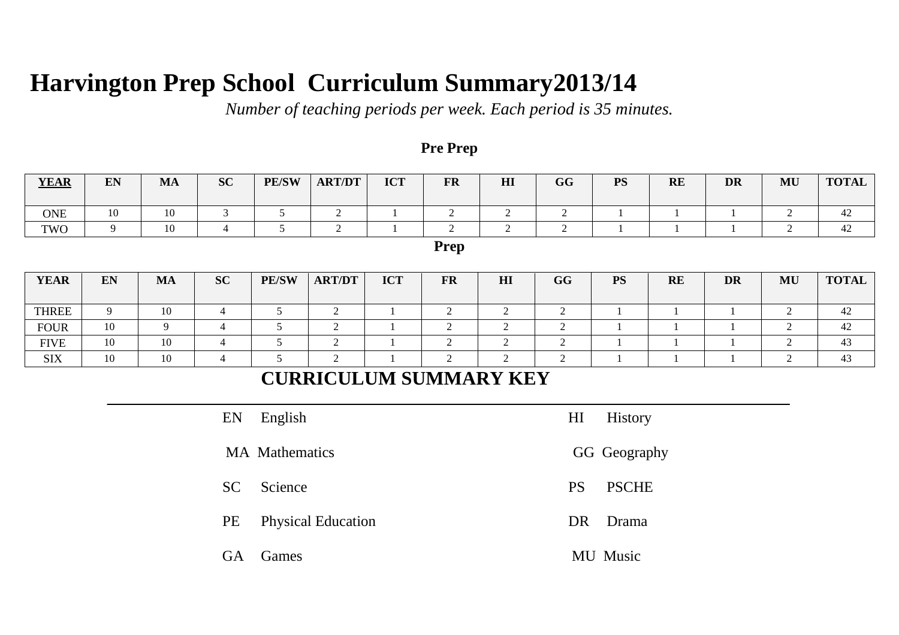# **Harvington Prep School Curriculum Summary2013/14**

*Number of teaching periods per week. Each period is 35 minutes.*

## **Pre Prep**

| <b>YEAR</b>                   | EN                              | <b>MA</b> | <b>SC</b>      | <b>PE/SW</b>    | <b>ART/DT</b>  | <b>ICT</b>               | <b>FR</b>        | HI                               | GG             | <b>PS</b>    | RE           | <b>DR</b>      | MU               | <b>TOTAL</b> |  |
|-------------------------------|---------------------------------|-----------|----------------|-----------------|----------------|--------------------------|------------------|----------------------------------|----------------|--------------|--------------|----------------|------------------|--------------|--|
| <b>ONE</b>                    | 10                              | 10        | 3              | $5\overline{)}$ | $\overline{2}$ | -1                       | $\overline{2}$   | 2                                | 2              | $\mathbf{1}$ | $\mathbf{1}$ | $\mathbf{1}$   | 2                | 42           |  |
| TWO                           | 9                               | 10        | $\overline{4}$ | $5\overline{)}$ | 2              | $\overline{1}$           | $\overline{2}$   | 2                                | $\overline{2}$ |              |              |                | 2                | 42           |  |
| Prep                          |                                 |           |                |                 |                |                          |                  |                                  |                |              |              |                |                  |              |  |
| <b>YEAR</b>                   | EN                              | <b>MA</b> | <b>SC</b>      | <b>PE/SW</b>    | <b>ART/DT</b>  | <b>ICT</b>               | <b>FR</b>        | H <sub>I</sub>                   | GG             | <b>PS</b>    | <b>RE</b>    | <b>DR</b>      | $\mathbf{MU}$    | <b>TOTAL</b> |  |
| <b>THREE</b>                  | 9                               | 10        | $\overline{4}$ | $5\,$           | $\overline{2}$ | $\overline{1}$           | $\overline{2}$   | $\overline{2}$                   | $\sqrt{2}$     |              | $\mathbf{1}$ | $\overline{1}$ | $\overline{2}$   | 42           |  |
| <b>FOUR</b>                   | 10                              | 9         | $\overline{4}$ | 5               | $\sqrt{2}$     | $\overline{\phantom{0}}$ | $\boldsymbol{2}$ | $\overline{2}$                   | $\overline{2}$ |              |              |                | $\boldsymbol{2}$ | 42           |  |
| <b>FIVE</b>                   | 10                              | 10        | $\overline{4}$ | 5               | $\overline{2}$ | $\mathbf{1}$             | $\boldsymbol{2}$ | $\overline{2}$                   | $\overline{2}$ |              |              |                | $\mathfrak{2}$   | 43           |  |
| <b>SIX</b>                    | 10                              | 10        | $\overline{4}$ | $5\,$           | $\sqrt{2}$     | $\mathbf{1}$             | $\boldsymbol{2}$ | $\sqrt{2}$                       | $\sqrt{2}$     |              |              |                | $\sqrt{2}$       | 43           |  |
| <b>CURRICULUM SUMMARY KEY</b> |                                 |           |                |                 |                |                          |                  |                                  |                |              |              |                |                  |              |  |
|                               | English<br>EN                   |           |                |                 |                |                          |                  | H <sub>I</sub><br><b>History</b> |                |              |              |                |                  |              |  |
|                               | <b>MA</b> Mathematics           |           |                |                 |                |                          |                  |                                  | GG Geography   |              |              |                |                  |              |  |
| Science<br><b>SC</b>          |                                 |           |                |                 |                |                          |                  | <b>PSCHE</b><br><b>PS</b>        |                |              |              |                |                  |              |  |
|                               | PE<br><b>Physical Education</b> |           |                |                 |                |                          |                  | DR<br>Drama                      |                |              |              |                |                  |              |  |
| Games<br>GA                   |                                 |           |                |                 |                |                          |                  | MU Music                         |                |              |              |                |                  |              |  |